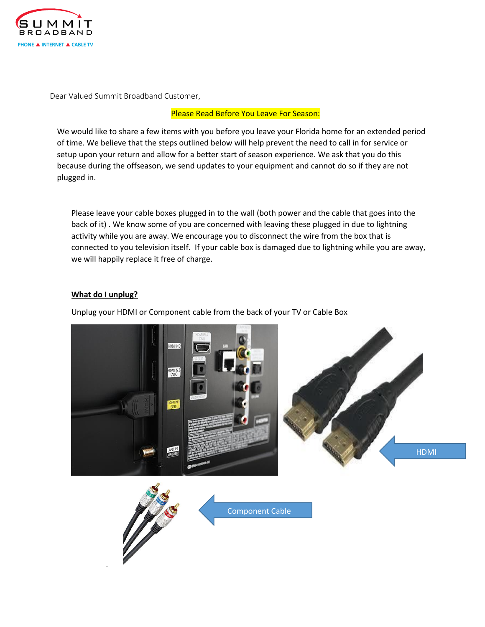

Dear Valued Summit Broadband Customer,

### Please Read Before You Leave For Season:

We would like to share a few items with you before you leave your Florida home for an extended period of time. We believe that the steps outlined below will help prevent the need to call in for service or setup upon your return and allow for a better start of season experience. We ask that you do this because during the offseason, we send updates to your equipment and cannot do so if they are not plugged in.

Please leave your cable boxes plugged in to the wall (both power and the cable that goes into the back of it) . We know some of you are concerned with leaving these plugged in due to lightning activity while you are away. We encourage you to disconnect the wire from the box that is connected to you television itself. If your cable box is damaged due to lightning while you are away, we will happily replace it free of charge.

#### **What do I unplug?**

Unplug your HDMI or Component cable from the back of your TV or Cable Box



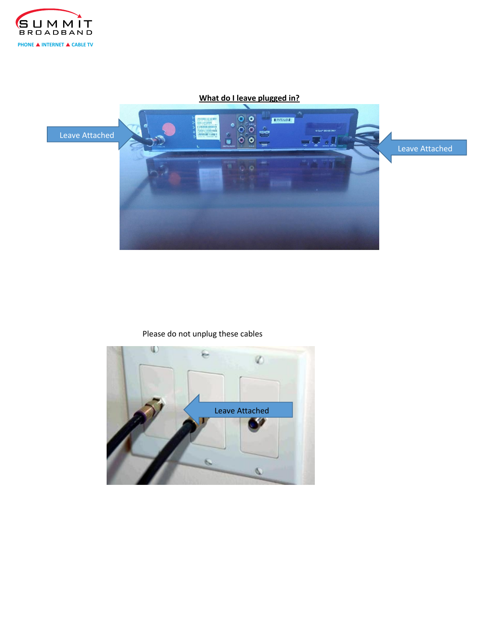

# **What do I leave plugged in?**



# Please do not unplug these cables

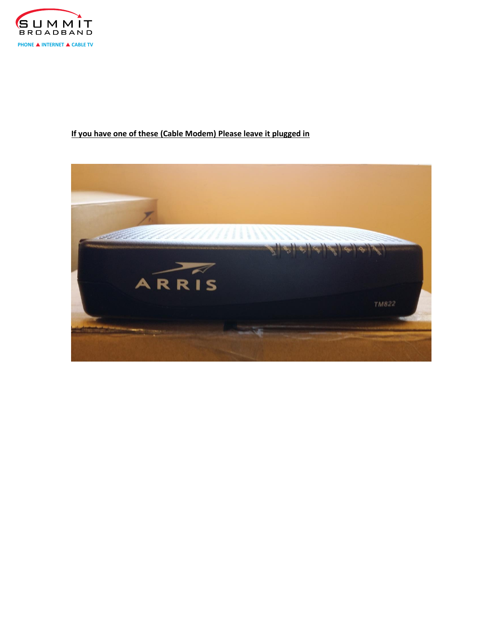

# **If you have one of these (Cable Modem) Please leave it plugged in**